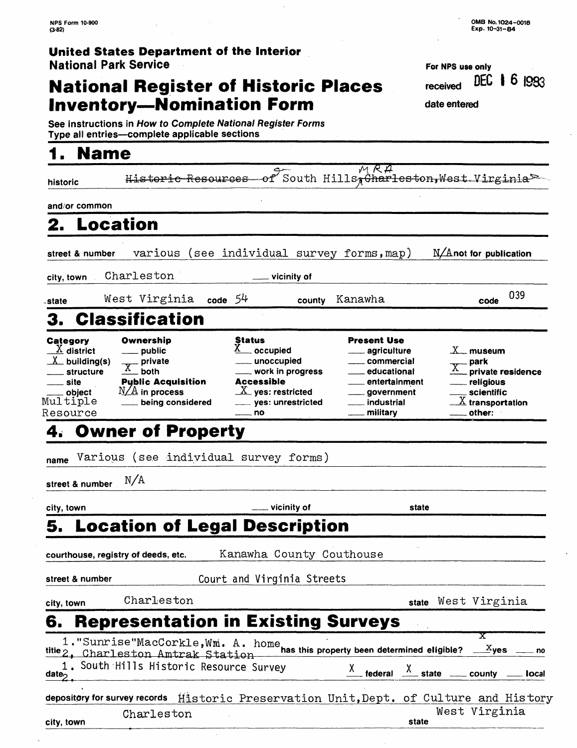## **National Register of Historic Places Inventory-Nomination Form** date entered

| For NPS use only      |  |  |
|-----------------------|--|--|
| received DEC 1 6 I993 |  |  |
|                       |  |  |

**See instructions in How to Complete National Register Forms Type all entries—complete applicable sections** 

## **1. Name**

city, town

| historic                                                                                                           | Historic                                                                                                            | <del>Resources</del>         |                                                                                                                                    | of South Hills, Charleston, West Virginia <sup>52</sup>                                                                                                                           |                           |                                                                                                                                                                      |                          |
|--------------------------------------------------------------------------------------------------------------------|---------------------------------------------------------------------------------------------------------------------|------------------------------|------------------------------------------------------------------------------------------------------------------------------------|-----------------------------------------------------------------------------------------------------------------------------------------------------------------------------------|---------------------------|----------------------------------------------------------------------------------------------------------------------------------------------------------------------|--------------------------|
| and/or common                                                                                                      |                                                                                                                     |                              |                                                                                                                                    |                                                                                                                                                                                   |                           |                                                                                                                                                                      |                          |
| 2. Location                                                                                                        |                                                                                                                     |                              |                                                                                                                                    |                                                                                                                                                                                   |                           |                                                                                                                                                                      |                          |
| street & number                                                                                                    | various                                                                                                             |                              |                                                                                                                                    | (see individual survey forms, map)                                                                                                                                                |                           | N/Anot for publication                                                                                                                                               |                          |
| city, town                                                                                                         | Charleston                                                                                                          |                              | __ vicinity of                                                                                                                     |                                                                                                                                                                                   |                           |                                                                                                                                                                      |                          |
| state                                                                                                              | West Virginia code $54$                                                                                             |                              | county                                                                                                                             | Kanawha                                                                                                                                                                           |                           | code                                                                                                                                                                 | 039                      |
| 3.                                                                                                                 | <b>Classification</b>                                                                                               |                              |                                                                                                                                    |                                                                                                                                                                                   |                           |                                                                                                                                                                      |                          |
| Category<br>$\underline{X}$ district<br>$X_$ building(s)<br>structure<br>__ site<br>object<br>Multiple<br>Resource | Ownership<br>__ public<br>$X$ private<br>_both<br><b>Public Acquisition</b><br>$N/A$ in process<br>being considered | <b>Status</b><br>$\equiv$ no | _ occupied<br>__ unoccupied<br>work in progress<br><b>Accessible</b><br>$\underline{X}$ yes: restricted<br>_____ yes: unrestricted | <b>Present Use</b><br>___ agriculture<br>____ commercial<br>educational<br>$\overline{\phantom{a}}$<br>___ entertainment<br>____ government<br><u>_</u> __ industrial<br>military |                           | $\mathbb{X}_{-}$ museum<br><sub>-</sub> park<br>private residence<br><u>_</u> __ religious<br><sub>—</sub> scientific<br>$\frac{X}{X}$ transportation<br>____ other: |                          |
|                                                                                                                    | <b>Owner of Property</b>                                                                                            |                              |                                                                                                                                    |                                                                                                                                                                                   |                           |                                                                                                                                                                      |                          |
| name                                                                                                               |                                                                                                                     |                              | Various (see individual survey forms)                                                                                              |                                                                                                                                                                                   |                           |                                                                                                                                                                      |                          |
| street & number                                                                                                    | N/A                                                                                                                 |                              |                                                                                                                                    |                                                                                                                                                                                   |                           |                                                                                                                                                                      |                          |
| city, town                                                                                                         |                                                                                                                     |                              | vicinity of                                                                                                                        |                                                                                                                                                                                   | state                     |                                                                                                                                                                      |                          |
|                                                                                                                    |                                                                                                                     |                              | 5. Location of Legal Description                                                                                                   |                                                                                                                                                                                   |                           |                                                                                                                                                                      |                          |
| courthouse, registry of deeds, etc.                                                                                |                                                                                                                     |                              | Kanawha County Couthouse                                                                                                           |                                                                                                                                                                                   |                           |                                                                                                                                                                      |                          |
| street & number                                                                                                    |                                                                                                                     |                              | Court and Virginia Streets                                                                                                         |                                                                                                                                                                                   |                           |                                                                                                                                                                      |                          |
| city, town                                                                                                         | Charleston                                                                                                          |                              |                                                                                                                                    |                                                                                                                                                                                   |                           | state West Virginia                                                                                                                                                  |                          |
| 6.                                                                                                                 |                                                                                                                     |                              |                                                                                                                                    | <b>Representation in Existing Surveys</b>                                                                                                                                         |                           |                                                                                                                                                                      |                          |
| date <sub>∩</sub>                                                                                                  | title 2, Charleston Amtrak Station<br>1. South Hills Historic Resource Survey                                       |                              |                                                                                                                                    | federal                                                                                                                                                                           | $\frac{\chi}{\chi}$ state | x<br>__ county                                                                                                                                                       | no<br><sub>—</sub> local |
| depository for survey records                                                                                      |                                                                                                                     |                              |                                                                                                                                    | Historic Preservation Unit, Dept. of Culture and History                                                                                                                          |                           |                                                                                                                                                                      |                          |
|                                                                                                                    | Charleston                                                                                                          |                              |                                                                                                                                    |                                                                                                                                                                                   |                           | West Virginia                                                                                                                                                        |                          |

**state**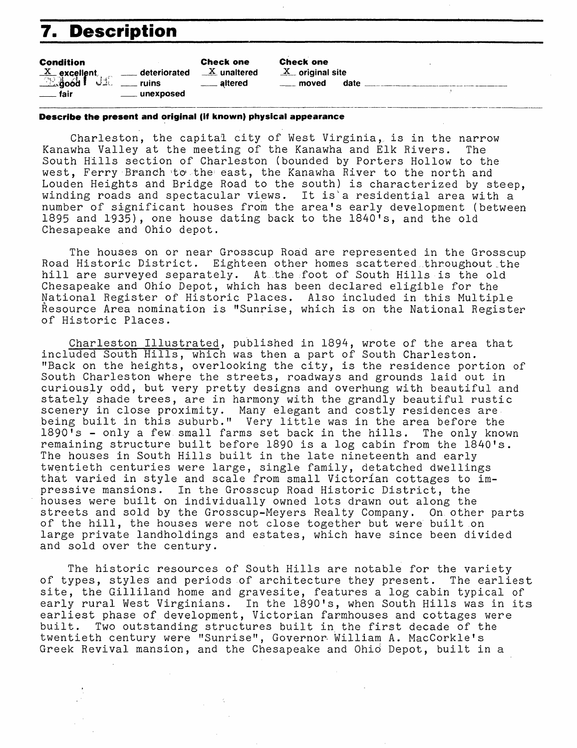## **7. Description**

| <b>Condition</b>                                            |                | <b>Check one</b>      |
|-------------------------------------------------------------|----------------|-----------------------|
|                                                             |                | $\frac{X}{A}$ unalter |
| $\frac{\text{x}}{\text{24}}$ excellent, ______ deteriorated |                | <u>__</u> __ altered  |
| $\equiv$ fair                                               | ____ unexposed |                       |

**Condition Check one Check one** red  $X$  original site **J.** moved date **J. 2008** 

#### **Describe the present and original (if known) physical appearance**

Charleston, the capital city of West Virginia, is in the narrow Kanawha Valley at the meeting of the Kanawha and Elk Rivers. The South Hills section of Charleston (bounded by Porters Hollow to the west, Ferry Branch to the east, the Kanawha River to the north and Louden Heights and Bridge Road to the south) is characterized by steep, winding roads and spectacular views. It is'a residential area with a number of significant houses from the area's early development (between 1895 and 1935), one house dating back to the 1840's, and the old Chesapeake and Ohio depot.

The houses on or near Grosscup Road are represented in the Grosscup Road Historic District. Eighteen other homes scattered throughout the hill are surveyed separately. At the foot of South Hills is the old Chesapeake and Ohio Depot, which has been declared eligible for the National Register of Historic Places. Also included in this Multiple Resource Area nomination is "Sunrise, which is on the National Register of Historic Places.

Charleston Illustrated, published in 1894, wrote of the area that included South Hills, which was then a part of South Charleston. "Back on the heights, overlooking the city, is the residence portion of South Charleston where the streets, roadways and grounds laid out in curiously odd, but very pretty designs and overhung with beautiful and stately shade trees, are in harmony with the grandly beautiful rustic scenery in close proximity. Many elegant and costly residences are being built in this suburb." Very little was in the area before the<br>1890's - only a few small farms set back in the hills. The only known  $1890$ <sup> $\textsf{is}$  - only a few small farms set back in the hills.</sup> remaining structure built before 1890 is a log cabin from the 1840's. The houses in South Hills built in the late nineteenth and early twentieth centuries were large, single family, detatched dwellings that varied in style and scale from small Victorian cottages to impressive mansions. In the Grosscup Road Historic District, the houses were built on individually owned lots drawn out along the streets and sold by the Grosscup-Meyers Realty Company. On other parts of the hill, the houses were not close together but were built on large private landholdings and estates, which have since been divided and sold over the century.

The historic resources of South Hills are notable for the variety of types, styles and periods of architecture they present. The earliest site, the Gilliland home and gravesite, features a log cabin typical of early rural West Virginians. In the 1890's, when South Hills was in its earliest phase of development, Victorian farmhouses and cottages were built. Two outstanding structures built in the first decade of the twentieth century were "Sunrise", Governor- William A. MacCorkle's Greek Revival mansion, and the Chesapeake and Ohio Depot, built in a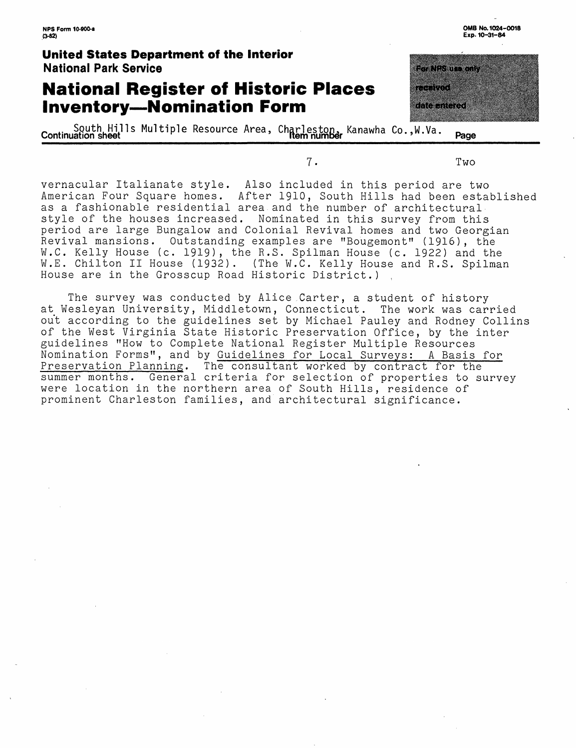## **National Register of Historic Places Inventory-Nomination Form**

South Hills Multiple Resource Area, Charleston, Kanawha Co., W.Va. **Page** Continuation sheet

vernacular Italianate style. Also included in this period are two American Four Square homes. After 1910, South Hills had been established as a fashionable residential area and the number of architectural style of the houses increased. Nominated in this survey from this period are large Bungalow and Colonial Revival homes and two Georgian Revival mansions. Outstanding examples are "Bougemont" (1916), the W.C. Kelly House (c. 1919), the R.S. Spilman House (c. 1922) and the W.E. Chilton II House (1932). (The W.C. Kelly House and R.S. Spilman House are in the Grosscup Road Historic District.)

The survey was conducted by Alice Carter, a student of history at Wesleyan University, Middletown, Connecticut. The work was carried out according to the guidelines set by Michael Pauley and Rodney Collins of the West Virginia State Historic Preservation Office, by the inter guidelines "How to Complete National Register Multiple Resources Nomination Forms", and by Guidelines for Local Surveys: A Basis for<br>Preservation Planning. The consultant worked by contract for the The consultant worked by contract for the summer months. General criteria for selection of properties to survey were location in the northern area of South Hills, residence of prominent Charleston families, and architectural significance.

<u> De la Branche</u> e de la construcción 

**7.** Two

**OMB No. 1024-0018** 

**Exp. 10-31-84**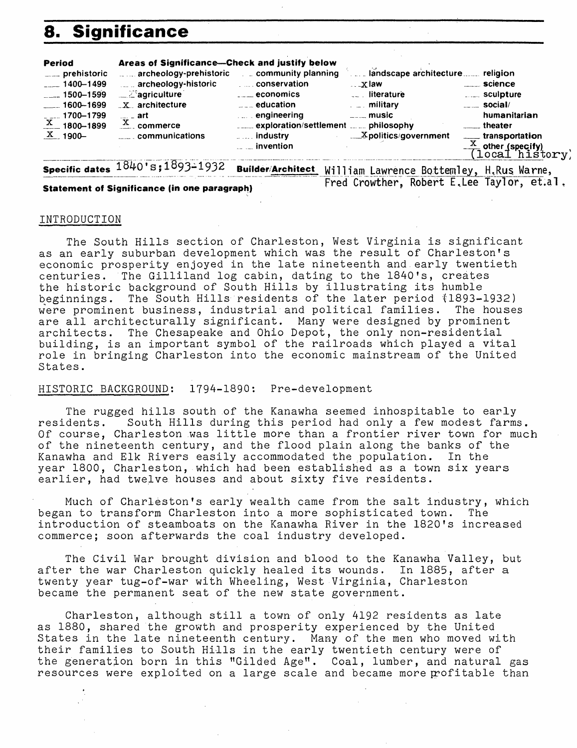## **8. Significance**

| <b>Period</b>                     | Areas of Significance-Check and justify below |                                     |                                 |                                           |
|-----------------------------------|-----------------------------------------------|-------------------------------------|---------------------------------|-------------------------------------------|
| ____ prehistoric                  | archeology-prehistoric   community planning   |                                     | and scape architecture religion |                                           |
| $-1400 - 1499$                    | archeology-historic                           | <b>Example 10 conservation</b>      | $\dots x$ law                   | <u>__</u> ___ science                     |
| $\frac{1500-1599}{ }$             | ्रा⊾ें aariculture                            | ____ economics                      | <b>Example 1</b> iterature      | <b>Electric Sculpture</b>                 |
| $-1600 - 1699$                    | $\mathbf{X}$ architecture                     | $\mathbb{Z}$ $\mathbb{Z}$ education | ⊥ ⊥. militarv                   | $\frac{1}{2}$ social/                     |
|                                   |                                               | $\ldots$ engineering                | ⊥ music                         | humanitarian                              |
| $\frac{1700 - 1799}{x}$ 1800-1899 | $\frac{X}{X}$ commerce                        | exploration/settlement   philosophy |                                 | theater                                   |
| $\overline{\text{X}}$ 1900–       | $\sim$ communications                         | $\ldots$ industry                   | <b>Expolitics/government</b>    | transportation                            |
|                                   |                                               | <u></u> invention                   |                                 |                                           |
|                                   |                                               |                                     |                                 | $\frac{\text{x}}{\text{[local history]}}$ |

**Specific dates**  $1840$ **'s;1** $893$ **-1932 Builder/<u>Architect William Lawrence Bottemley, H.Rus Warn</u>e,** 

#### **Statement of Significance (in one paragraph)**

#### INTRODUCTION

The South Hills section of Charleston, West Virginia is significant as an early suburban development which was the result of Charleston's economic prosperity enjoyed in the late nineteenth and early twentieth centuries. The Gilliland log cabin, dating to the 1840's, creates the historic background of South Hills by illustrating its humble beginnings. The South Hills residents of the later period (1893-1932)<br>were prominent business, industrial and political families. The houses were prominent business, industrial and political families. are all architecturally significant. Many were designed by prominent architects. The Chesapeake and Ohio Depot, the only non-residential building, is an important symbol of the railroads which played a vital role in bringing Charleston into the economic mainstream of the United States .

#### HISTORIC BACKGROUND: 1794-1890: Pre-development

The rugged hills south of the Kanawha seemed inhospitable to early<br>residents. South Hills during this period had only a few modest farms South Hills during this period had only a few modest farms. Of course, Charleston was little more than a frontier river town for much of the nineteenth century, and the flood plain along the banks of the Kanawha and Elk Rivers easily accommodated the population. In the year 1800, Charleston, which had been established as a town six years earlier, had twelve houses and about sixty five residents.

Much of Charleston's early wealth came from the salt industry, which began to transform Charleston into a more sophisticated town. The introduction of steamboats on the Kanawha River in the 1820 's increased commerce; soon afterwards the coal industry developed.

The Civil War brought division and blood to the Kanawha Valley, but after the war Charleston quickly healed its wounds. In 1885, after a twenty year tug-of-war with Wheeling, West Virginia, Charleston became the permanent seat of the new state government.

Charleston, although still a town of only 4192 residents as late as 1880, shared the growth and prosperity experienced by the United States in the late nineteenth century. Many of the men who moved with their families to South Hills in the early twentieth century were of the generation born in this "Gilded Age". Coal, lumber, and natural gas resources were exploited on a large scale and became more profitable than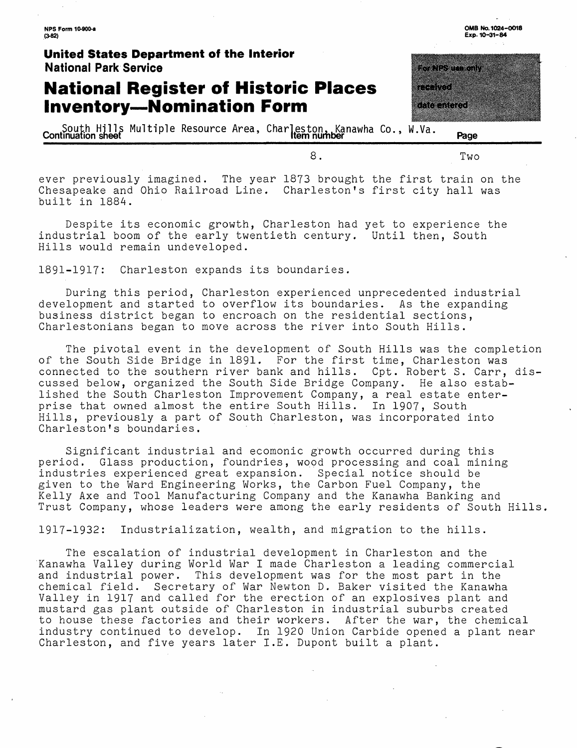**NPS Form 10-900-a (3-82)**

#### **United States Department of the Interior National Park Service**

## **National Register of Historic Places Inventory-Nomination Form**

\_ South Hills Multiple Resource Area, Charleston, .Kanawha Co., W.Va. \_ **Continuation sheet Item number Page**

ever previously imagined. The year 1873 brought the first train on the Chesapeake and Ohio Railroad Line. Charleston's first city hall was built in 1884.

Despite its economic growth, Charleston had yet to experience the industrial boom of the early twentieth century. Until then, South Hills would remain undeveloped.

1891-1917: Charleston expands its boundaries.

During this period, Charleston experienced unprecedented industrial development and started to overflow its boundaries. As the expanding business district began to encroach on the residential sections, Charlestonians began to move across the river into South Hills.

The pivotal event in the development of South Hills was the completion of the South Side Bridge in 1891. For the first time, Charleston was connected to the southern river bank and hills. Cpt. Robert S. Carr, discussed below, organized the South Side Bridge Company. He also established the South Charleston Improvement Company, a real estate enterprise that owned almost the entire South Hills. In 1907, South Hills, previously a part of South Charleston, was incorporated into Charleston's boundaries.

Significant industrial and ecomonic growth occurred during this period. Glass production, foundries, wood processing and coal mining industries experienced great expansion. Special notice should be given to the Ward Engineering Works, the Carbon Fuel Company, the Kelly Axe and Tool Manufacturing Company and the Kanawha Banking and Trust Company, whose leaders were among the early residents of South Hills

1917-1932: Industrialization, wealth, and migration to the hills.

The escalation of industrial development in Charleston and the Kanawha Valley during World War I made Charleston a leading commercial and industrial power. This development was for the most part in the chemical field. Secretary of War Newton D. Baker visited the Kanawha Valley in 1917 and called for the erection of an explosives plant and mustard gas plant outside of Charleston in industrial suburbs created to house these factories and their workers. After the war, the chemical industry continued to develop. In 1920 Union Carbide opened a plant near Charleston, and five years later I.E. Dupont built a plant.

a a dheegaala ah dheegaalay iyo dheegaalay iyo dheegaalay iyo dheegaalay iyo dheegaalay iyo dheegaalay iyo dhe<br>Marka Afrika Afrika Afrika Afrika Afrika Afrika Afrika Afrika Afrika Afrika Afrika Afrika Afrika Afrika Afrika

**OMB No. 1024-0018 Exp. 10-31-84**

8. Two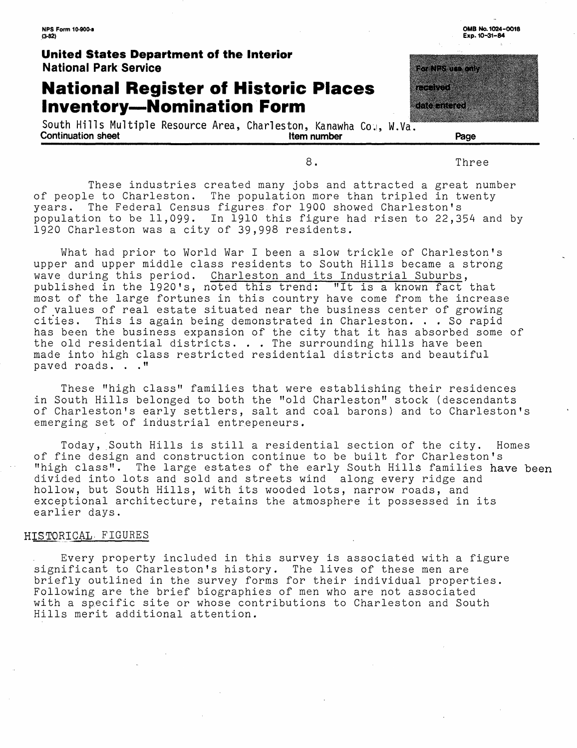## **National Register of Historic Places Inventory-Nomination Form**

South Hills Multiple Resource Area, Charleston, Kanawha Co., W.Va<sup>"</sup>.<br>Continuation sheet **continuation** Continuation sheet **Item number Page**

<u>tan di sebagai pa</u> a a shekara a a canala

**OMBNo. 1024-0018 Exp. 10-31-84**

8. Three

These industries created many jobs and attracted a great number of people to Charleston. The population more than tripled in twenty years. The Federal Census figures for 1900 showed Charleston's population to be 11,099. In 1910 this figure had risen to 22,354 and by 1920 Charleston was a city of 39,998 residents.

What had prior to World War I been a slow trickle of Charleston's upper and upper middle class residents to South Hills became a strong wave during this period. Charleston and its Industrial Suburbs, published in the 1920 's, noted this trend: "It is a known fact that most of the large fortunes in this country have come from the increase of values of real estate situated near the business center of growing cities. This is again being demonstrated in Charleston. . . So rapid has been the business expansion of the city that it has absorbed some of the old residential districts. . . The surrounding hills have been made into high class restricted residential districts and beautiful paved roads. . . "

These "high class" families that were establishing their residences in South Hills belonged to both the "old Charleston" stock (descendants of Charleston's early settlers, salt and coal barons) and to Charleston's emerging set of industrial entrepeneurs .

Today, South Hills is still a residential section of the city. Homes of fine design and construction continue to be built for Charleston's "high class". The large estates of the early South Hills families have been divided into lots and sold and streets wind along every ridge and hollow, but South Hills, with its wooded lots, narrow roads, and exceptional architecture, retains the atmosphere it possessed in its earlier days.

#### HISTORICAL. FIGURES

Every property included in this survey is associated with a figure significant to Charleston's history. The lives of these men are briefly outlined in the survey forms for their individual properties. Following are the brief biographies of men who are not associated with a specific site or whose contributions to Charleston and South Hills merit additional attention.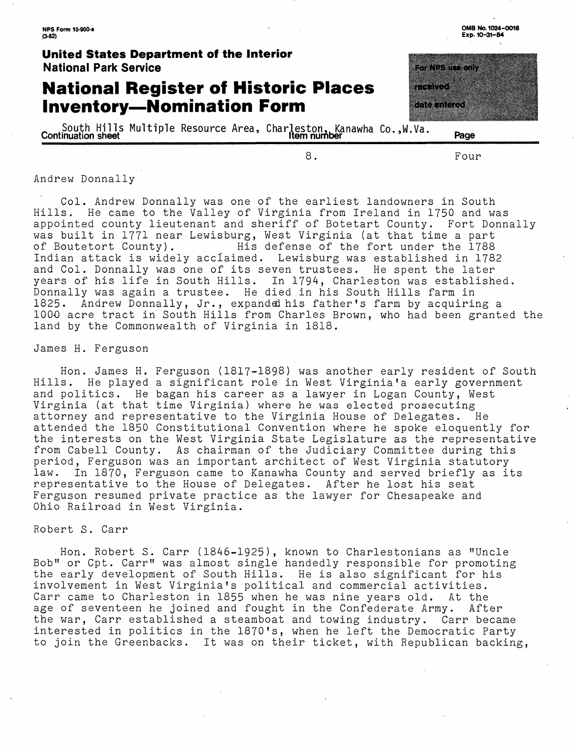## **National Register of Historic Places Inventory-Nomination Form**

South Hills Multiple Resource Area, Charleston, Kanawha Co.,W.Va. **Page Continuation sheet Item number** 

8.

Four

<u>kommune e</u>

E SO STANDAR

**OMB No. 1024-0018 Exp. 10-31-84**

#### Andrew Donnally

Col. Andrew Donnally was one of the earliest landowners in South Hills. He came to the Valley of Virginia from Ireland in 1750 and was appointed county lieutenant and sheriff of Botetart County. Fort Donnally was built in 1771 near Lewisburg, West Virginia (at that time a part<br>of Boutetort County). His defense of the fort under the 1788 His defense of the fort under the 1788 Indian attack is widely acclaimed. Lewisburg was established in 1782 and Col. Donnally was one of its seven trustees. He spent the later years of his life in South Hills. In 1794, Charleston was established. Donnally was again a trustee. He died in his South Hills farm in 1825. Andrew Donnally, Jr., expanded his father's farm by acquiring a 1000 acre tract in South Hills from Charles Brown, who had been granted the land by the Commonwealth of Virginia in 1818.

#### James H. Ferguson

Hon. James H. Ferguson (1817-1898) was another early resident of South Hills. He played a significant role in West Virginia'a early government and politics. He bagan his career as a lawyer in Logan County, West Virginia (at that time Virginia) where he was elected prosecuting attorney and representative to the Virginia House of Delegates. He attended the 1850 Constitutional Convention where he spoke eloquently for the interests on the West Virginia State Legislature as the representative from Cabell County. As chairman of the Judiciary Committee during this period, Ferguson was an important architect of West Virginia statutory law. In 1870, Ferguson came to Kanawha County and served briefly as its representative to the House of Delegates. After he lost his seat Ferguson resumed private practice as the lawyer for Chesapeake and Ohio Railroad in West Virginia.

#### Robert S. Carr

Hon. Robert S. Carr (1846-1925), known to Charlestonians as "Uncle Bob" or Cpt. Carr" was almost single handedly responsible for promoting the early development of South Hills. He is also significant for his involvement in West Virginia's political and commercial activities. Carr came to Charleston in 1855 when he was nine years old. At the age of seventeen he joined and fought in the Confederate Army. After the war, Carr established a steamboat and towing industry. Carr became interested in politics in the 1870's, when he left the Democratic Party to join the Greenbacks. It was on their ticket, with Republican backing,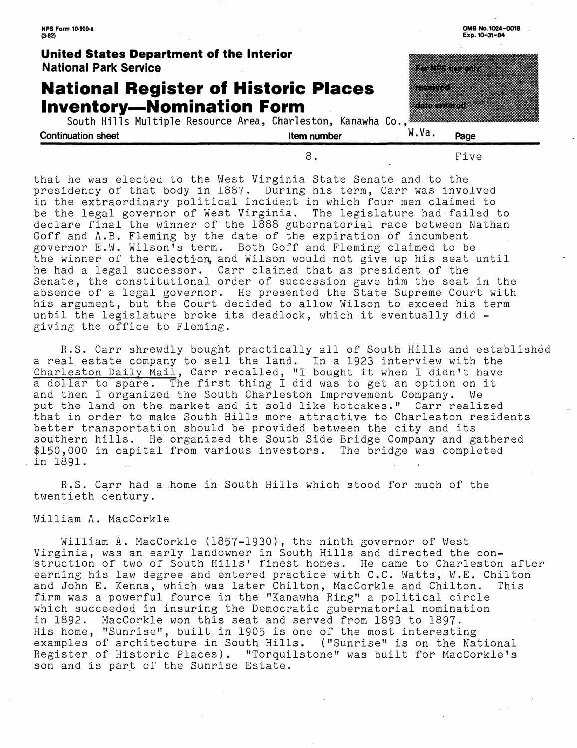| NPS Form 10-900-a<br>$(3-82)$                                                                                                                   |             |                               | OMB No. 1024-0018<br>Exp. 10-31-84 |
|-------------------------------------------------------------------------------------------------------------------------------------------------|-------------|-------------------------------|------------------------------------|
| United States Department of the Interior<br><b>National Park Service</b>                                                                        |             |                               | eka kunggunakan ka                 |
| <b>National Register of Historic Places</b><br><b>Inventory-Nomination Form</b><br>South Hills Multiple Resource Area, Charleston, Kanawha Co., |             | studions s<br>este television |                                    |
| <b>Continuation sheet</b>                                                                                                                       | Item number | W.Va.                         | Page                               |
|                                                                                                                                                 | 8.          |                               | Five                               |

that he was elected to the West Virginia State Senate and to the presidency of that body in 1887. During his term, Carr was involved in the extraordinary political incident in which four men claimed to be the legal governor of West Virginia. The legislature had failed to declare final the winner of the 1888 gubernatorial race between Nathan Goff and A.B. Fleming by the date of the expiration of incumbent governor E.W. Wilson's term. Both Goff and Fleming claimed to be the winner of the election, and Wilson would not give up his seat until he had a legal successor. Carr claimed that as president of the Senate, the constitutional order of succession gave him the seat in the absence of a legal governor. He presented the State Supreme Court with his argument, but the Court decided to allow Wilson to exceed his term until the legislature broke its deadlock, which it eventually did giving the office to Fleming.

R.S. Carr shrewdly bought practically all of South Hills and established a real estate company to sell the land. In a 1923 interview with the Charleston Daily Mail, Carr recalled, "I bought it when I didn't have a dollar to spare. The first thing I did was to get an option on it and then I organized the South Charleston Improvement Company. We put the land on the market and it sold like hotcakes." Carr realized that in order to make South Hills more attractive to Charleston residents better transportation should be provided between the city and its southern hills. He organized the South Side Bridge Company and gathered \$150,000 in capital from various investors. The bridge was completed in 1891.

R.S. Carr had a home in South Hills which stood for much of the twentieth century.

#### William A. MacCorkle

William A. MacCorkle (1857-1930), the ninth governor of West Virginia, was an early landowner in South Hills and directed the construction of two of South Hills' finest homes. He came to Charleston after earning his law degree and entered practice with C.C. Watts, W.E. Chilton and John E. Kenna, which was later Chilton, MacCorkle and Chilton. This firm was a powerful fource in the "Kanawha Ring" a political circle which succeeded in insuring the Democratic gubernatorial nomination in 1892. MacCorkle won this seat and served from 1893 to 1897. His home, "Sunrise", built in 1905 is one of the most interesting examples of architecture in South Hills. ("Sunrise" is on the National Register of Historic Places). "Torquilstone" was built for MacCorkle's son and is part of the Sunrise Estate.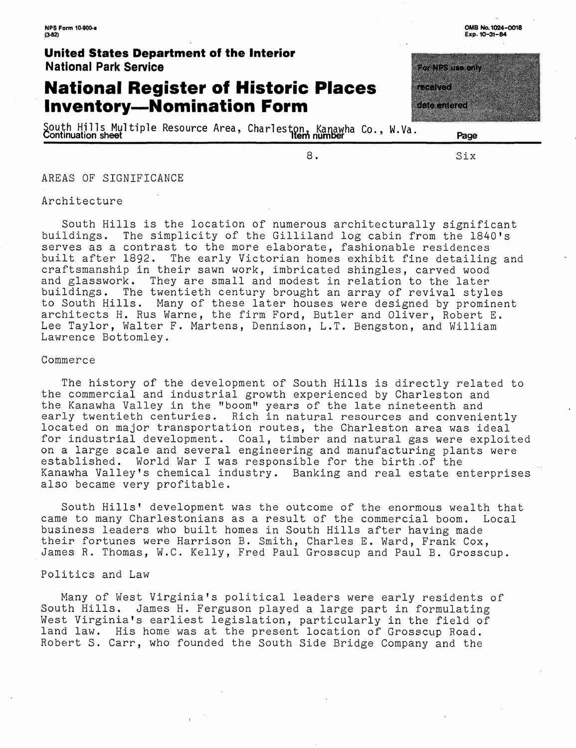## **National Register of Historic Places Inventory-Nomination Form**

South Hills Multiple Resource Area, Charleston, Kanawha Co., W.Va. """"""""\_" Continuation sheet\_\_\_\_\_\_\_\_\_\_\_\_\_\_\_\_\_\_\_\_ Item number\_\_\_\_'\_\_\_\_\_\_\_\_\_Page\_\_\_\_\_\_

<u>terturan di </u> a a shekara

8. Six

a di Charles de Carlos

AREAS OF SIGNIFICANCE

#### Architecture

South Hills is the location of numerous architecturally significant buildings. The simplicity of the Gilliland log cabin from the 1840's serves as a contrast to the more elaborate, fashionable residences built after 1892. The early Victorian homes exhibit fine detailing and craftsmanship in their sawn work, imbricated shingles, carved wood<br>and glasswork. They are small and modest in relation to the later and glasswork. They are small and modest in relation to the later<br>buildings. The twentieth century brought an array of revival style buildings. The twentieth century brought an array of revival styles<br>to South Hills. Many of these later houses were designed by promine Many of these later houses were designed by prominent architects H. Rus Warne, the firm Ford, Butler and Oliver, Robert E. Lee Taylor, Walter F. Martens, Dennison, L.T. Bengston, and William Lawrence Bottomley.

#### Commerce

The history of the development of South Hills is directly related to the commercial and industrial growth experienced by Charleston and the Kanawha Valley in the "boom" years of the late nineteenth and early twentieth centuries. Rich in natural resources and conveniently located on major transportation routes, the Charleston area was ideal for industrial development. Coal, timber and natural gas were exploited on a large scale and several engineering and manufacturing plants were established. World War I was responsible for the birth of the<br>Kanawha Valley's chemical industry. Banking and real estate e Banking and real estate enterprises also became very profitable.

South Hills' development was the outcome of the enormous wealth that came to many Charlestonians as a result of the commercial boom. Local business leaders who built homes in South Hills after having made their fortunes were Harrison B. Smith, Charles E. Ward, Frank Cox, James R. Thomas, W.C. Kelly, Fred Paul Grosscup and Paul B. Grosscup.

#### Politics and Law

Many of West Virginia's political leaders were early residents of South Hills. James H. Ferguson played a large part in formulating West Virginia's earliest legislation, particularly in the field of land law. His home was at the present location of Grosscup Road. Robert S. Carr, who founded the South Side Bridge Company and the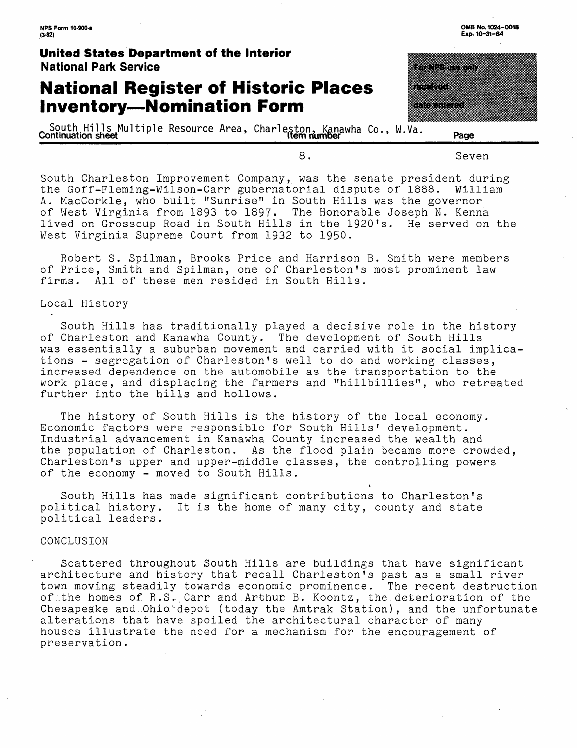## **National Register of Historic Places Inventory-Nomination Form**

South Hills Multiple Resource Area, Charleston, Kanawha Co., W.Va. Page

|                     | <u> Timografi</u> |  |
|---------------------|-------------------|--|
|                     |                   |  |
|                     |                   |  |
|                     |                   |  |
| 173                 |                   |  |
|                     |                   |  |
|                     |                   |  |
|                     |                   |  |
| <u> 1988 - 1988</u> |                   |  |
|                     |                   |  |
|                     |                   |  |

8. Seven

South Charleston Improvement Company, was the senate president during the Goff-Fleming-Wilson-Carr gubernatorial dispute of 1888. William A. MacCorkle, who built "Sunrise" in South Hills was the governor of West Virginia from 1893 to 1897. The Honorable Joseph N. Kenna lived on Grosscup Road in South Hills in the 1920's. He served on the West Virginia Supreme Court from 1932 to 1950.

Robert S. Spilman, Brooks Price and Harrison B. Smith were members of Price, Smith and Spilman, one of Charleston's most prominent law<br>firms. All of these men resided in South Hills. All of these men resided in South Hills.

#### Local History

South Hills has traditionally played a decisive role in the history of Charleston and Kanawha County. The development of South Hills was essentially a suburban movement and carried with it social implications - segregation of Charleston's well to do and working classes, increased dependence on the automobile as the transportation to the work place, and displacing the farmers and "hillbillies", who retreated further into the hills and hollows.

The history of South Hills is the history of the local economy. Economic factors were responsible for South Hills' development. Industrial advancement in Kanawha County increased the wealth and the population of Charleston. As the flood plain became more crowded, Charleston's upper and upper-middle classes, the controlling powers of the economy - moved to South Hills.

V

South Hills has made significant contributions to Charleston's political history. It is the home of many city, county and state political leaders.

#### CONCLUSION

Scattered throughout South Hills are buildings that have significant architecture and history that recall Charleston's past as a small river town moving steadily towards economic prominence. The recent destruction of the homes of R.S. Carr and Arthur B. Koontz, the deterioration of the Chesapeake and Ohio depot (today the Amtrak Station), and the unfortunate alterations that have spoiled the architectural character of many houses illustrate the need for a mechanism for the encouragement of preservation .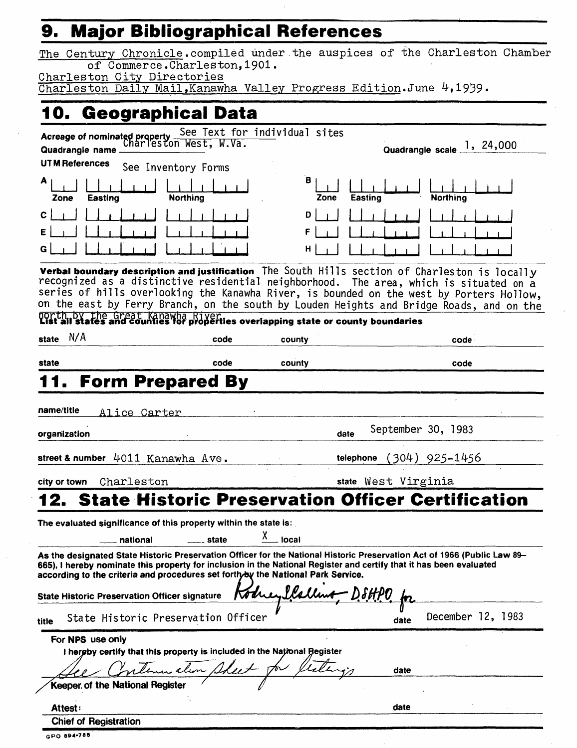## **9. Major Bibliographical References**

The Century Chronicle.compiled under.the auspices of the Charleston Chamber of Commerce.Charleston, 1901.

Charleston City Directories

Charleston Daily Mail, Kanawha Valley Progress Edition.June 4,1939.

| 10. Geographical Data                                                                                                                                                                                                                                                                                                                                                                                                                                            |                       |            |                            |                            |
|------------------------------------------------------------------------------------------------------------------------------------------------------------------------------------------------------------------------------------------------------------------------------------------------------------------------------------------------------------------------------------------------------------------------------------------------------------------|-----------------------|------------|----------------------------|----------------------------|
| Acreage of nominated property See Text for individual sites<br>Charleston West, W.Va.<br>Quadrangle name                                                                                                                                                                                                                                                                                                                                                         |                       |            |                            | Quadrangle scale 1, 24,000 |
| <b>UTM References</b>                                                                                                                                                                                                                                                                                                                                                                                                                                            | See Inventory Forms   |            |                            |                            |
| A<br><b>Easting</b><br>Zone                                                                                                                                                                                                                                                                                                                                                                                                                                      | <b>Northing</b>       | в<br>Zone  | Easting                    | <b>Northing</b>            |
| С                                                                                                                                                                                                                                                                                                                                                                                                                                                                |                       | D          |                            |                            |
| Verbal boundary description and justification The South Hills section of Charleston is locally<br>recognized as a distinctive residential neighborhood. The area, which is situated on a<br>series of hills overlooking the Kanawha River, is bounded on the west by Porters Hollow,<br>on the east by Ferry Branch, on the south by Louden Heights and Bridge Roads, and on the<br>north, by the Great Kanawha Riverties overlapping state or county boundaries |                       |            |                            |                            |
| N/A<br>state                                                                                                                                                                                                                                                                                                                                                                                                                                                     | code                  | county     |                            | code                       |
| state                                                                                                                                                                                                                                                                                                                                                                                                                                                            | code                  | county     |                            | code                       |
| <b>Form Prepared By</b>                                                                                                                                                                                                                                                                                                                                                                                                                                          |                       |            |                            |                            |
| name/title<br>Alice Carter<br>organization                                                                                                                                                                                                                                                                                                                                                                                                                       |                       |            | September 30, 1983<br>date |                            |
| street & number 4011 Kanawha Ave.                                                                                                                                                                                                                                                                                                                                                                                                                                |                       |            | telephone                  | $(304)$ 925–1456           |
| Charleston<br>city or town                                                                                                                                                                                                                                                                                                                                                                                                                                       |                       |            | state West Virginia        |                            |
| <b>12. State Historic Preservation Officer Certification</b>                                                                                                                                                                                                                                                                                                                                                                                                     |                       |            |                            |                            |
| The evaluated significance of this property within the state is:                                                                                                                                                                                                                                                                                                                                                                                                 |                       |            |                            |                            |
| national                                                                                                                                                                                                                                                                                                                                                                                                                                                         | <sub>—–</sub> _ state | Y<br>local |                            |                            |
| As the designated State Historic Preservation Officer for the National Historic Preservation Act of 1966 (Public Law 89-<br>665), I hereby nominate this property for inclusion in the National Register and certify that it has been evaluated<br>according to the criteria and procedures set forthyby the National Park Service.<br><b>State Historic Preservation Officer signature</b>                                                                      |                       |            |                            |                            |
| State Historic Preservation Officer<br>title                                                                                                                                                                                                                                                                                                                                                                                                                     |                       |            | date                       | December 12, 1983          |
| For NPS use only                                                                                                                                                                                                                                                                                                                                                                                                                                                 |                       |            |                            |                            |
| I hereby certify that this property is included in the National Begister                                                                                                                                                                                                                                                                                                                                                                                         | men alim Sheet        |            | date                       |                            |
| Keeper of the National Register                                                                                                                                                                                                                                                                                                                                                                                                                                  |                       |            |                            |                            |

|  |  | GPO 894-785 |  |  |  |
|--|--|-------------|--|--|--|

Chief of Registration

 $\mathfrak{c}$ 

Attest: **date**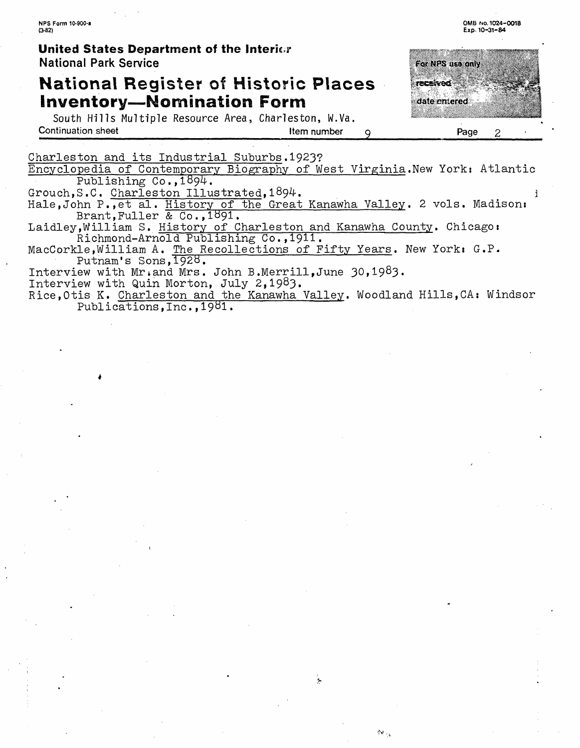## National Register of Historic Places **inventory-Nomination Form**

South Hills Multiple Resource Area, Charleston, W.Va. **Continuation sheet** Page Item number Q **Page** 

For NPS use only **TECHNICS** date entered 2

**0MB MO. 1024-0018 Exp. 10-31-84**

Charleston and its Industrial Suburbs.1923?

Encyclopedia of Contemporary Biography of West Virginia.New York: Atlantic Publishing  $Co.,1894.$ 

Grouch, S.C. Charleston Illustrated, 1894.

Hale, John P., et al. History of the Great Kanawha Valley. 2 vols. Madison: Brant,Fuller & Co.,1391.

Laidley,William S. History of Charleston and Kanawha County. Chicago: Richmond-Arnold Publishing Co.,1911.

MacCorkle, William A. The Recollections of Fifty Years. New York: G.P. Putnam's Sons, 1928.

Interview with Mr.and Mrs. John B.Merrill,June 30,1983.

Interview with Quin Morton, July 2,1983.

Rice,0tis K. Charleston and the Kanawha Valley. Woodland Hills,CA: Windsor Publications, Inc., 1981.

.<br>In

 $\Delta\sigma_{\rm eq}$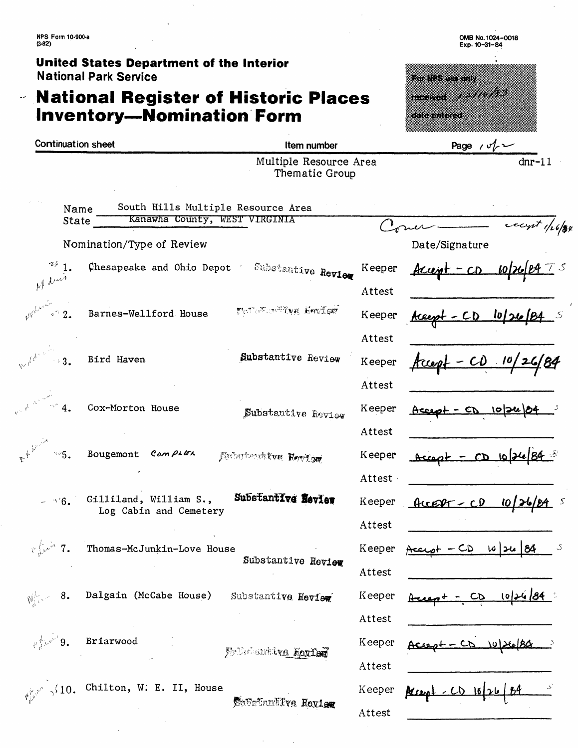**NPS Form 10-900-a (3-82)**

 $\ddot{\phantom{0}}$ 

**Y** جه

**United States Department of the Interior** National Park Service

# **National Register of Historic Places**  <sup>National Park Service<br>**National Register of Historic<br>Inventory—Nomination Form**</sup>

| <b>Continuation sheet</b>                                                                                                                                                                                                                                                                                                                     | Item number                                    |          | Page $\sqrt{v}$              |
|-----------------------------------------------------------------------------------------------------------------------------------------------------------------------------------------------------------------------------------------------------------------------------------------------------------------------------------------------|------------------------------------------------|----------|------------------------------|
|                                                                                                                                                                                                                                                                                                                                               | Multiple Resource Area<br>Thematic Group       |          | $dnr-11$                     |
| South Hills Multiple Resource Area<br>Name                                                                                                                                                                                                                                                                                                    |                                                |          |                              |
| Kanawha County, WEST VIRGINIA<br><b>State</b>                                                                                                                                                                                                                                                                                                 |                                                |          | count 1/26/84                |
| Nomination/Type of Review                                                                                                                                                                                                                                                                                                                     |                                                |          | Date/Signature               |
|                                                                                                                                                                                                                                                                                                                                               | Chesapeake and Ohio Depot ' Substantive Review | Keeper   | $Acup + -CD$ $10/26$         |
|                                                                                                                                                                                                                                                                                                                                               |                                                | Attest   |                              |
| 2.72<br>Barnes-Wellford House                                                                                                                                                                                                                                                                                                                 | Material Buffer Leaf                           | Keeper   | $kceph - CD$ $lo/2lo/BA$ $s$ |
|                                                                                                                                                                                                                                                                                                                                               |                                                | Attest   |                              |
| Bird Haven<br>$\rightarrow$ 3.                                                                                                                                                                                                                                                                                                                | Substantive Review                             | Keeper   | $fcceq1 - CD 10/26/84$       |
|                                                                                                                                                                                                                                                                                                                                               |                                                | Attest   |                              |
| $\overline{4}$ .<br>Cox-Morton House                                                                                                                                                                                                                                                                                                          | Substantive Review                             | Keeper   | $Accust - CD 1024664$        |
|                                                                                                                                                                                                                                                                                                                                               |                                                | Attest   |                              |
| Bougemont Complex<br>325.                                                                                                                                                                                                                                                                                                                     | Enhertwirken Herlen                            | Keeper   | $Accept - CD 10126184$       |
|                                                                                                                                                                                                                                                                                                                                               |                                                | Attest - |                              |
| Gilliland, William S.,<br>4.6.<br>Log Cabin and Cemetery                                                                                                                                                                                                                                                                                      | Substantive Review                             | Keeper   | $ACCPT - CD 10/26$<br>S      |
|                                                                                                                                                                                                                                                                                                                                               |                                                | Attest   |                              |
| $\sqrt{\frac{1}{2}}$<br>Thomas-McJunkin-Love House                                                                                                                                                                                                                                                                                            |                                                | Keeper   | $-CD$ 10 26 84               |
|                                                                                                                                                                                                                                                                                                                                               | Substantive Review                             | Attest   |                              |
| Dalgain (McCabe House)<br>$\frac{1}{2}$ $\frac{1}{2}$ $\frac{1}{2}$ $\frac{1}{2}$ $\frac{1}{2}$ $\frac{1}{2}$ $\frac{1}{2}$ $\frac{1}{2}$ $\frac{1}{2}$ $\frac{1}{2}$ $\frac{1}{2}$ $\frac{1}{2}$ $\frac{1}{2}$ $\frac{1}{2}$ $\frac{1}{2}$ $\frac{1}{2}$ $\frac{1}{2}$ $\frac{1}{2}$ $\frac{1}{2}$ $\frac{1}{2}$ $\frac{1}{2}$ $\frac{1}{2}$ | Substantive Review                             | Keeper   | 10126184<br>CD               |
|                                                                                                                                                                                                                                                                                                                                               |                                                | Attest   |                              |
| $v_0^{\frac{1}{k}}$ $v_0^{\nu^*}$ 9.<br>Briarwood                                                                                                                                                                                                                                                                                             | Friedrichte Korfer                             | Keeper   |                              |
|                                                                                                                                                                                                                                                                                                                                               |                                                | Attest   |                              |
| $\sqrt{10}$ , Chilton, W. E. II, House                                                                                                                                                                                                                                                                                                        |                                                | Keeper   | $-CD$ $16126184$             |

Attest

**0MB No. 1024-0018 Exp. 10-31-84**

**The Contract of Section** 

Senaturilys Heyley